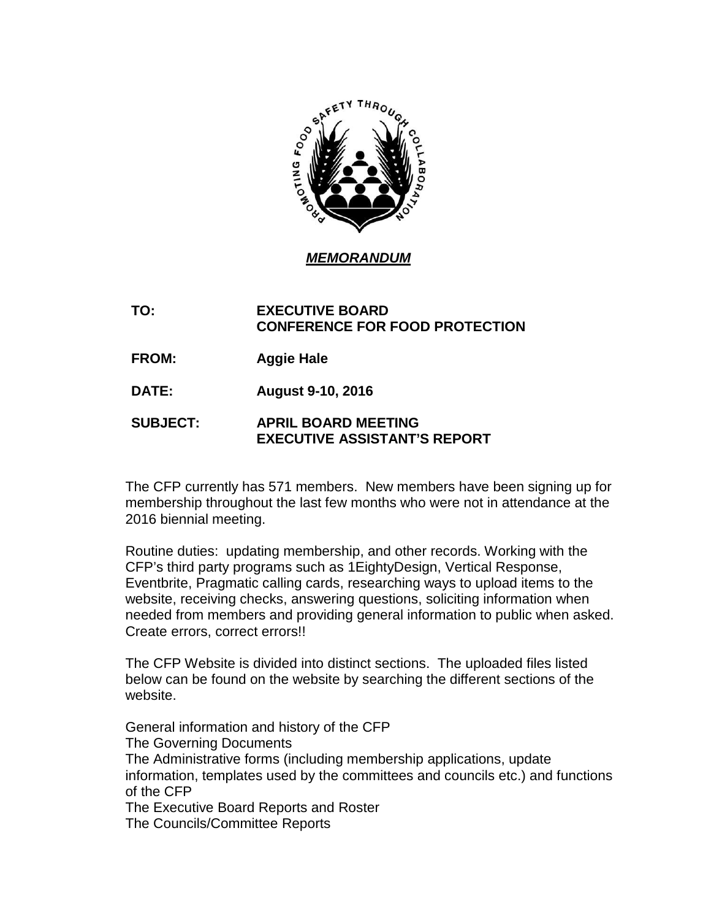

## *MEMORANDUM*

## **TO: EXECUTIVE BOARD CONFERENCE FOR FOOD PROTECTION**

**FROM: Aggie Hale**

**DATE: August 9-10, 2016**

## **SUBJECT: APRIL BOARD MEETING EXECUTIVE ASSISTANT'S REPORT**

The CFP currently has 571 members. New members have been signing up for membership throughout the last few months who were not in attendance at the 2016 biennial meeting.

Routine duties: updating membership, and other records. Working with the CFP's third party programs such as 1EightyDesign, Vertical Response, Eventbrite, Pragmatic calling cards, researching ways to upload items to the website, receiving checks, answering questions, soliciting information when needed from members and providing general information to public when asked. Create errors, correct errors!!

The CFP Website is divided into distinct sections. The uploaded files listed below can be found on the website by searching the different sections of the website.

General information and history of the CFP The Governing Documents The Administrative forms (including membership applications, update information, templates used by the committees and councils etc.) and functions of the CFP The Executive Board Reports and Roster The Councils/Committee Reports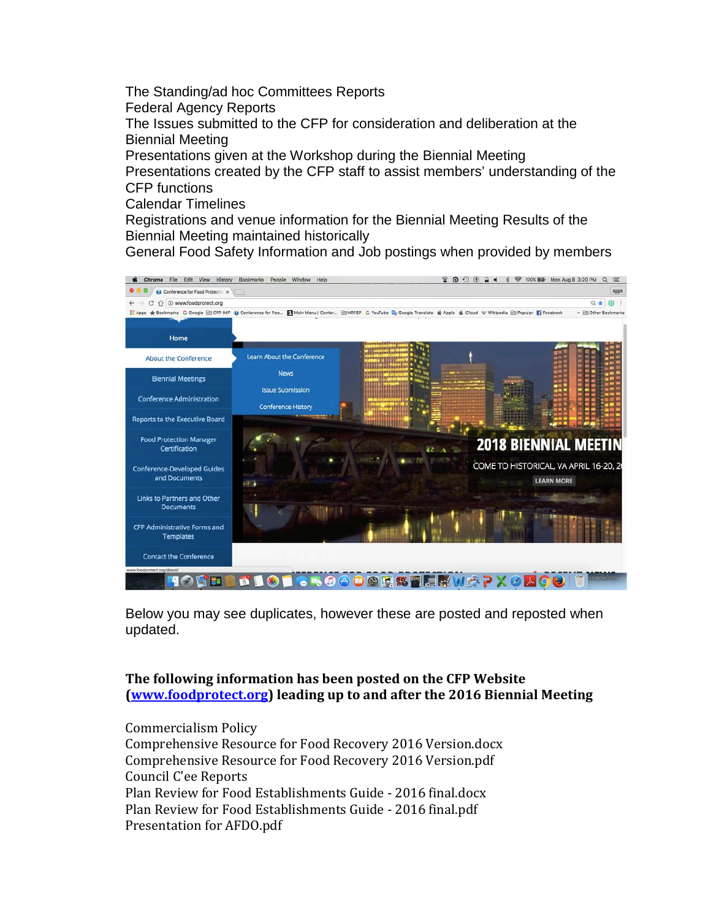The Standing/ad hoc Committees Reports Federal Agency Reports The Issues submitted to the CFP for consideration and deliberation at the Biennial Meeting Presentations given at the Workshop during the Biennial Meeting Presentations created by the CFP staff to assist members' understanding of the CFP functions

Calendar Timelines

Registrations and venue information for the Biennial Meeting Results of the Biennial Meeting maintained historically

General Food Safety Information and Job postings when provided by members



Below you may see duplicates, however these are posted and reposted when updated.

## **The following information has been posted on the CFP Website [\(www.foodprotect.org\)](http://www.foodprotect.org/) leading up to and after the 2016 Biennial Meeting**

Commercialism Policy Comprehensive Resource for Food Recovery 2016 Version.docx Comprehensive Resource for Food Recovery 2016 Version.pdf Council C'ee Reports Plan Review for Food Establishments Guide - 2016 final.docx Plan Review for Food Establishments Guide - 2016 final.pdf Presentation for AFDO.pdf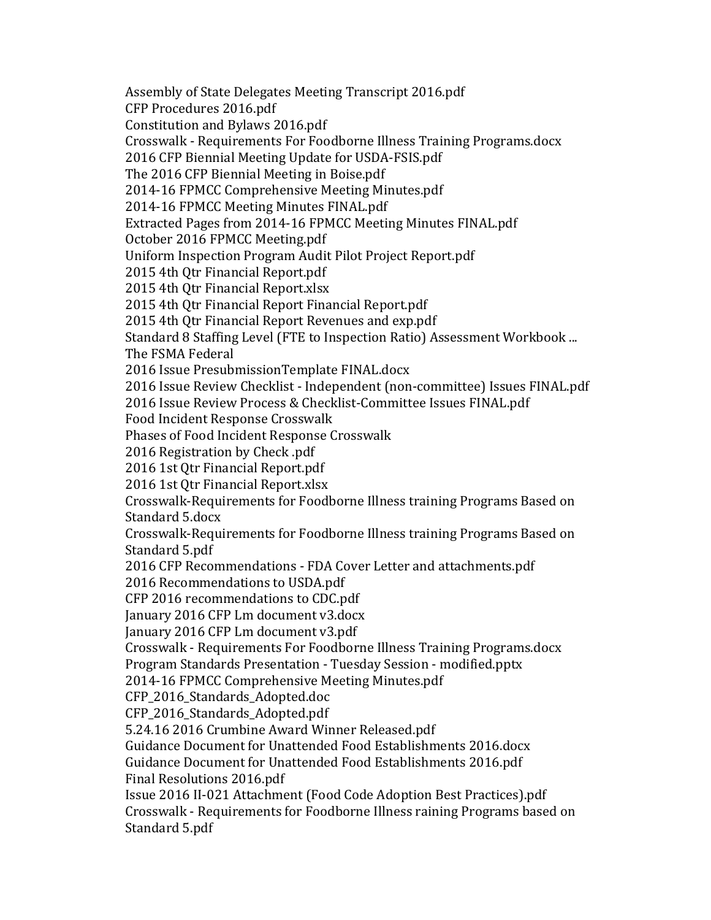Assembly of State Delegates Meeting Transcript 2016.pdf CFP Procedures 2016.pdf Constitution and Bylaws 2016.pdf Crosswalk - Requirements For Foodborne Illness Training Programs.docx 2016 CFP Biennial Meeting Update for USDA-FSIS.pdf The 2016 CFP Biennial Meeting in Boise.pdf 2014-16 FPMCC Comprehensive Meeting Minutes.pdf 2014-16 FPMCC Meeting Minutes FINAL.pdf Extracted Pages from 2014-16 FPMCC Meeting Minutes FINAL.pdf October 2016 FPMCC Meeting.pdf Uniform Inspection Program Audit Pilot Project Report.pdf 2015 4th Qtr Financial Report.pdf 2015 4th Qtr Financial Report.xlsx 2015 4th Qtr Financial Report Financial Report.pdf 2015 4th Qtr Financial Report Revenues and exp.pdf Standard 8 Staffing Level (FTE to Inspection Ratio) Assessment Workbook ... The FSMA Federal 2016 Issue PresubmissionTemplate FINAL.docx 2016 Issue Review Checklist - Independent (non-committee) Issues FINAL.pdf 2016 Issue Review Process & Checklist-Committee Issues FINAL.pdf Food Incident Response Crosswalk Phases of Food Incident Response Crosswalk 2016 Registration by Check .pdf 2016 1st Qtr Financial Report.pdf 2016 1st Qtr Financial Report.xlsx Crosswalk-Requirements for Foodborne Illness training Programs Based on Standard 5.docx Crosswalk-Requirements for Foodborne Illness training Programs Based on Standard 5.pdf 2016 CFP Recommendations - FDA Cover Letter and attachments.pdf 2016 Recommendations to USDA.pdf CFP 2016 recommendations to CDC.pdf January 2016 CFP Lm document v3.docx January 2016 CFP Lm document v3.pdf Crosswalk - Requirements For Foodborne Illness Training Programs.docx Program Standards Presentation - Tuesday Session - modified.pptx 2014-16 FPMCC Comprehensive Meeting Minutes.pdf CFP 2016 Standards Adopted.doc CFP\_2016\_Standards\_Adopted.pdf 5.24.16 2016 Crumbine Award Winner Released.pdf Guidance Document for Unattended Food Establishments 2016.docx Guidance Document for Unattended Food Establishments 2016.pdf Final Resolutions 2016.pdf Issue 2016 II-021 Attachment (Food Code Adoption Best Practices).pdf Crosswalk - Requirements for Foodborne Illness raining Programs based on Standard 5.pdf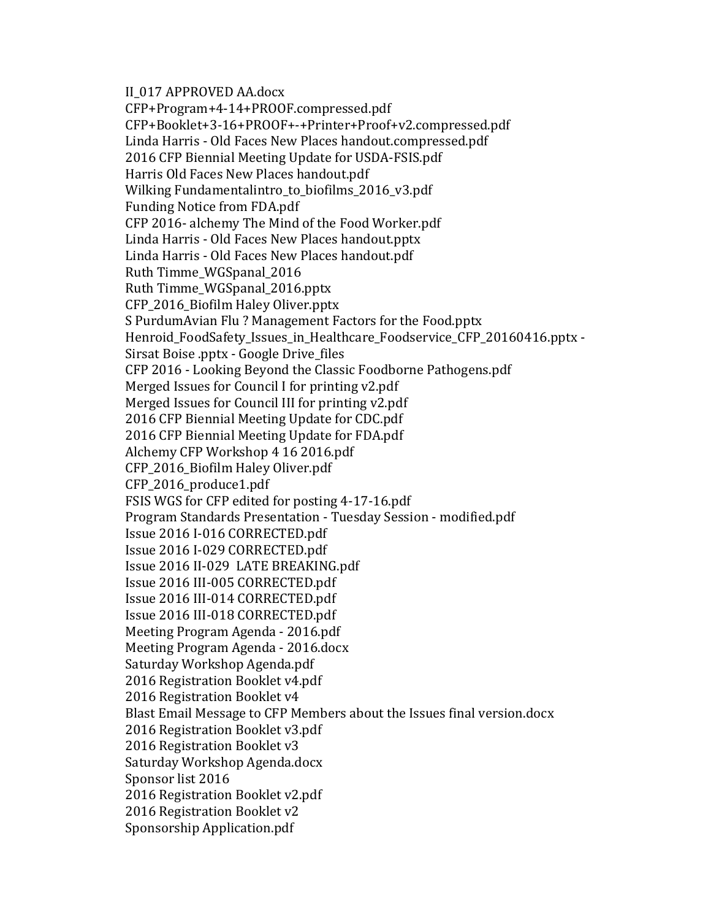II\_017 APPROVED AA.docx

CFP+Program+4-14+PROOF.compressed.pdf CFP+Booklet+3-16+PROOF+-+Printer+Proof+v2.compressed.pdf Linda Harris - Old Faces New Places handout.compressed.pdf 2016 CFP Biennial Meeting Update for USDA-FSIS.pdf Harris Old Faces New Places handout.pdf Wilking Fundamentalintro\_to\_biofilms\_2016\_v3.pdf Funding Notice from FDA.pdf CFP 2016- alchemy The Mind of the Food Worker.pdf Linda Harris - Old Faces New Places handout.pptx Linda Harris - Old Faces New Places handout.pdf Ruth Timme\_WGSpanal\_2016 Ruth Timme\_WGSpanal\_2016.pptx CFP\_2016\_Biofilm Haley Oliver.pptx S PurdumAvian Flu ? Management Factors for the Food.pptx Henroid\_FoodSafety\_Issues\_in\_Healthcare\_Foodservice\_CFP\_20160416.pptx - Sirsat Boise .pptx - Google Drive\_files CFP 2016 - Looking Beyond the Classic Foodborne Pathogens.pdf Merged Issues for Council I for printing v2.pdf Merged Issues for Council III for printing v2.pdf 2016 CFP Biennial Meeting Update for CDC.pdf 2016 CFP Biennial Meeting Update for FDA.pdf Alchemy CFP Workshop 4 16 2016.pdf CFP\_2016\_Biofilm Haley Oliver.pdf CFP\_2016\_produce1.pdf FSIS WGS for CFP edited for posting 4-17-16.pdf Program Standards Presentation - Tuesday Session - modified.pdf Issue 2016 I-016 CORRECTED.pdf Issue 2016 I-029 CORRECTED.pdf Issue 2016 II-029 LATE BREAKING.pdf Issue 2016 III-005 CORRECTED.pdf Issue 2016 III-014 CORRECTED.pdf Issue 2016 III-018 CORRECTED.pdf Meeting Program Agenda - 2016.pdf Meeting Program Agenda - 2016.docx Saturday Workshop Agenda.pdf 2016 Registration Booklet v4.pdf 2016 Registration Booklet v4 Blast Email Message to CFP Members about the Issues final version.docx 2016 Registration Booklet v3.pdf 2016 Registration Booklet v3 Saturday Workshop Agenda.docx Sponsor list 2016 2016 Registration Booklet v2.pdf 2016 Registration Booklet v2 Sponsorship Application.pdf